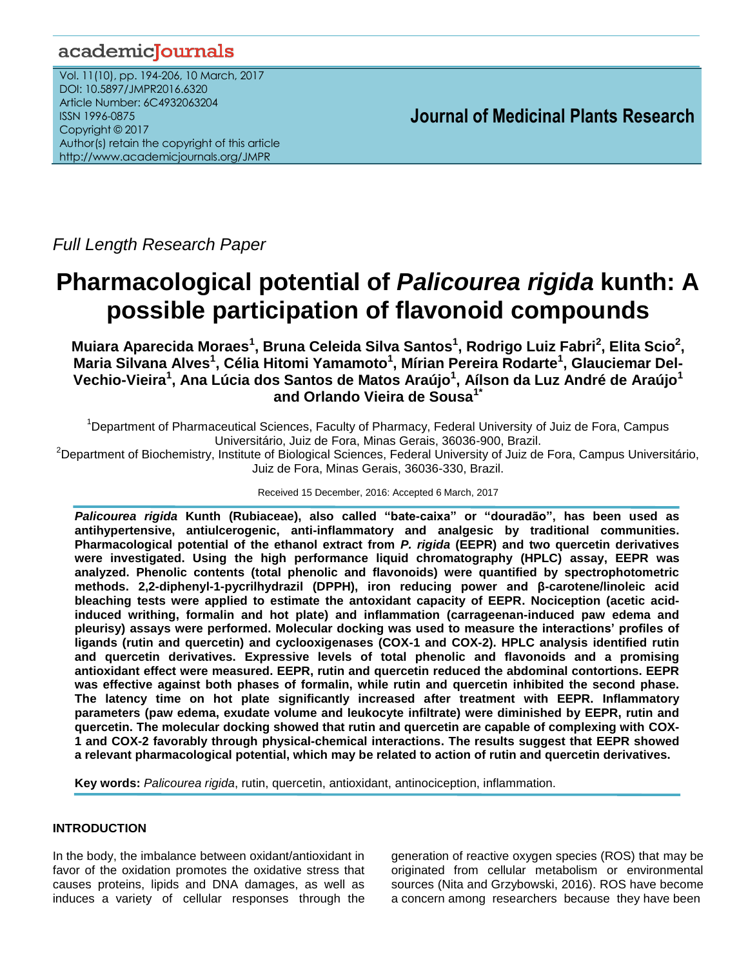## academicJournals

Vol. 11(10), pp. 194-206, 10 March, 2017 DOI: 10.5897/JMPR2016.6320 Article Number: 6C4932063204 ISSN 1996-0875 Copyright © 2017 Author(s) retain the copyright of this article http://www.academicjournals.org/JMPR

 **Journal of Medicinal Plants Research**

*Full Length Research Paper*

# **Pharmacological potential of** *Palicourea rigida* **kunth: A possible participation of flavonoid compounds**

**Muiara Aparecida Moraes<sup>1</sup> , Bruna Celeida Silva Santos<sup>1</sup> , Rodrigo Luiz Fabri<sup>2</sup> , Elita Scio<sup>2</sup> , Maria Silvana Alves<sup>1</sup> , Célia Hitomi Yamamoto<sup>1</sup> , Mírian Pereira Rodarte<sup>1</sup> , Glauciemar Del-Vechio-Vieira<sup>1</sup> , Ana Lúcia dos Santos de Matos Araújo<sup>1</sup> , Aílson da Luz André de Araújo<sup>1</sup> and Orlando Vieira de Sousa1\***

<sup>1</sup>Department of Pharmaceutical Sciences, Faculty of Pharmacy, Federal University of Juiz de Fora, Campus Universitário, Juiz de Fora, Minas Gerais, 36036-900, Brazil.

<sup>2</sup>Department of Biochemistry, Institute of Biological Sciences, Federal University of Juiz de Fora, Campus Universitário, Juiz de Fora, Minas Gerais, 36036-330, Brazil.

Received 15 December, 2016: Accepted 6 March, 2017

*Palicourea rigida* **Kunth (Rubiaceae), also called "bate-caixa" or "douradão", has been used as antihypertensive, antiulcerogenic, anti-inflammatory and analgesic by traditional communities. Pharmacological potential of the ethanol extract from** *P. rigida* **(EEPR) and two quercetin derivatives were investigated. Using the high performance liquid chromatography (HPLC) assay, EEPR was analyzed. Phenolic contents (total phenolic and flavonoids) were quantified by spectrophotometric methods. 2,2-diphenyl-1-pycrilhydrazil (DPPH), iron reducing power and β-carotene/linoleic acid bleaching tests were applied to estimate the antoxidant capacity of EEPR. Nociception (acetic acidinduced writhing, formalin and hot plate) and inflammation (carrageenan-induced paw edema and pleurisy) assays were performed. Molecular docking was used to measure the interactions' profiles of ligands (rutin and quercetin) and cyclooxigenases (COX-1 and COX-2). HPLC analysis identified rutin and quercetin derivatives. Expressive levels of total phenolic and flavonoids and a promising antioxidant effect were measured. EEPR, rutin and quercetin reduced the abdominal contortions. EEPR was effective against both phases of formalin, while rutin and quercetin inhibited the second phase. The latency time on hot plate significantly increased after treatment with EEPR. Inflammatory parameters (paw edema, exudate volume and leukocyte infiltrate) were diminished by EEPR, rutin and quercetin. The molecular docking showed that rutin and quercetin are capable of complexing with COX-1 and COX-2 favorably through physical-chemical interactions. The results suggest that EEPR showed a relevant pharmacological potential, which may be related to action of rutin and quercetin derivatives.**

**Key words:** *Palicourea rigida*, rutin, quercetin, antioxidant, antinociception, inflammation.

## **INTRODUCTION**

In the body, the imbalance between oxidant/antioxidant in favor of the oxidation promotes the oxidative stress that causes proteins, lipids and DNA damages, as well as induces a variety of cellular responses through the generation of reactive oxygen species (ROS) that may be originated from cellular metabolism or environmental sources (Nita and Grzybowski, 2016). ROS have become a concern among researchers because they have been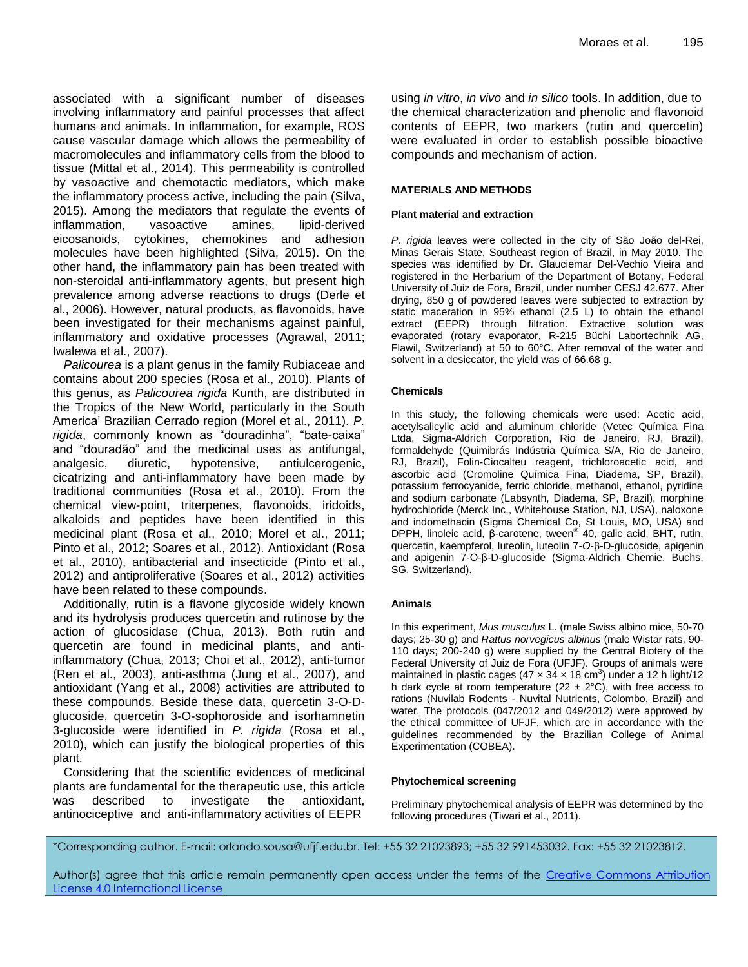associated with a significant number of diseases involving inflammatory and painful processes that affect humans and animals. In inflammation, for example, ROS cause vascular damage which allows the permeability of macromolecules and inflammatory cells from the blood to tissue (Mittal et al., 2014). This permeability is controlled by vasoactive and chemotactic mediators, which make the inflammatory process active, including the pain (Silva, 2015). Among the mediators that regulate the events of inflammation, vasoactive amines, lipid-derived eicosanoids, cytokines, chemokines and adhesion molecules have been highlighted (Silva, 2015). On the other hand, the inflammatory pain has been treated with non-steroidal anti-inflammatory agents, but present high prevalence among adverse reactions to drugs (Derle et al., 2006). However, natural products, as flavonoids, have been investigated for their mechanisms against painful, inflammatory and oxidative processes (Agrawal, 2011; Iwalewa et al., 2007).

*Palicourea* is a plant genus in the family [Rubiaceae](https://en.wikipedia.org/wiki/Rubiaceae) and contains about 200 species (Rosa et al., 2010). Plants of this genus, as *Palicourea rigida* Kunth, are distributed in the Tropics of the New World, particularly in the South America' Brazilian Cerrado region (Morel et al., 2011). *P. rigida*, commonly known as "douradinha", "bate-caixa" and "douradão" and the medicinal uses as antifungal, analgesic, diuretic, hypotensive, antiulcerogenic, cicatrizing and anti-inflammatory have been made by traditional communities (Rosa et al., 2010). From the chemical view-point, triterpenes, flavonoids, iridoids, alkaloids and peptides have been identified in this medicinal plant (Rosa et al., 2010; Morel et al., 2011; Pinto et al., 2012; Soares et al., 2012). Antioxidant (Rosa et al., 2010), antibacterial and insecticide (Pinto et al., 2012) and antiproliferative (Soares et al., 2012) activities have been related to these compounds.

Additionally, rutin is a flavone glycoside widely known and its hydrolysis produces quercetin and rutinose by the action of glucosidase (Chua, 2013). Both rutin and quercetin are found in medicinal plants, and antiinflammatory (Chua, 2013; Choi et al., 2012), anti-tumor (Ren et al., 2003), anti-asthma (Jung et al., 2007), and antioxidant (Yang et al., 2008) activities are attributed to these compounds. Beside these data, quercetin 3-O-Dglucoside, quercetin 3-O-sophoroside and isorhamnetin 3-glucoside were identified in *P. rigida* (Rosa et al., 2010), which can justify the biological properties of this plant.

Considering that the scientific evidences of medicinal plants are fundamental for the therapeutic use, this article was described to investigate the antioxidant, antinociceptive and anti-inflammatory activities of EEPR

using *in vitro*, *in vivo* and *in silico* tools. In addition, due to the chemical characterization and phenolic and flavonoid contents of EEPR, two markers (rutin and quercetin) were evaluated in order to establish possible bioactive compounds and mechanism of action.

#### **MATERIALS AND METHODS**

#### **Plant material and extraction**

*P. rigida* leaves were collected in the city of São João del-Rei, Minas Gerais State, Southeast region of Brazil, in May 2010. The species was identified by Dr. Glauciemar Del-Vechio Vieira and registered in the Herbarium of the Department of Botany, Federal University of Juiz de Fora, Brazil, under number CESJ 42.677. After drying, 850 g of powdered leaves were subjected to extraction by static maceration in 95% ethanol (2.5 L) to obtain the ethanol extract (EEPR) through filtration. Extractive solution was evaporated (rotary evaporator, R-215 Büchi Labortechnik AG, Flawil, Switzerland) at 50 to 60°C. After removal of the water and solvent in a desiccator, the yield was of 66.68 g.

#### **Chemicals**

In this study, the following chemicals were used: Acetic acid, acetylsalicylic acid and aluminum chloride (Vetec Química Fina Ltda, Sigma-Aldrich Corporation, Rio de Janeiro, RJ, Brazil), formaldehyde (Quimibrás Indústria Química S/A, Rio de Janeiro, RJ, Brazil), Folin-Ciocalteu reagent, trichloroacetic acid, and ascorbic acid (Cromoline Química Fina, Diadema, SP, Brazil), potassium ferrocyanide, ferric chloride, methanol, ethanol, pyridine and sodium carbonate (Labsynth, Diadema, SP, Brazil), morphine hydrochloride (Merck Inc., Whitehouse Station, NJ, USA), naloxone and indomethacin (Sigma Chemical Co, St Louis, MO, USA) and DPPH, linoleic acid, β-carotene, tween® 40, galic acid, BHT, rutin, quercetin, kaempferol, luteolin, luteolin 7-*O*-β-D-glucoside, apigenin and apigenin 7-O-β-D-glucoside (Sigma-Aldrich Chemie, Buchs, SG, Switzerland).

#### **Animals**

In this experiment, *Mus musculus* L. (male Swiss albino mice, 50-70 days; 25-30 g) and *Rattus norvegicus albinus* (male Wistar rats, 90- 110 days; 200-240 g) were supplied by the Central Biotery of the Federal University of Juiz de Fora (UFJF). Groups of animals were maintained in plastic cages (47  $\times$  34  $\times$  18 cm<sup>3</sup>) under a 12 h light/12 h dark cycle at room temperature (22  $\pm$  2°C), with free access to rations (Nuvilab Rodents - Nuvital Nutrients, Colombo, Brazil) and water. The protocols (047/2012 and 049/2012) were approved by the ethical committee of UFJF, which are in accordance with the guidelines recommended by the Brazilian College of Animal Experimentation (COBEA).

#### **Phytochemical screening**

Preliminary phytochemical analysis of EEPR was determined by the following procedures (Tiwari et al., 2011).

\*Corresponding author. E-mail: orlando.sousa@ufjf.edu.br. Tel: +55 32 21023893; +55 32 991453032. Fax: +55 32 21023812.

Author(s) agree that this article remain permanently open access under the terms of the Creative Commons [Attribution](http://creativecommons.org/licenses/by/4.0/deed.en_US)  License 4.0 [International](http://creativecommons.org/licenses/by/4.0/deed.en_US) License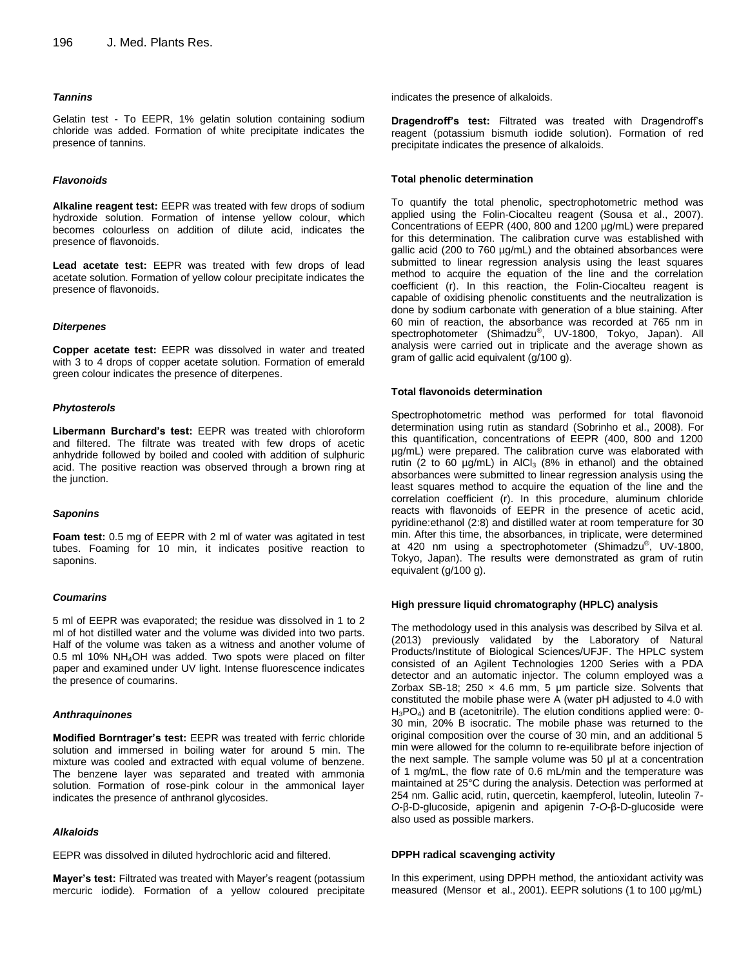#### *Tannins*

Gelatin test - To EEPR, 1% gelatin solution containing sodium chloride was added. Formation of white precipitate indicates the presence of tannins.

#### *Flavonoids*

**Alkaline reagent test:** EEPR was treated with few drops of sodium hydroxide solution. Formation of intense yellow colour, which becomes colourless on addition of dilute acid, indicates the presence of flavonoids.

**Lead acetate test:** EEPR was treated with few drops of lead acetate solution. Formation of yellow colour precipitate indicates the presence of flavonoids.

#### *Diterpenes*

**Copper acetate test:** EEPR was dissolved in water and treated with 3 to 4 drops of copper acetate solution. Formation of emerald green colour indicates the presence of diterpenes.

#### *Phytosterols*

**Libermann Burchard's test:** EEPR was treated with chloroform and filtered. The filtrate was treated with few drops of acetic anhydride followed by boiled and cooled with addition of sulphuric acid. The positive reaction was observed through a brown ring at the junction.

#### *Saponins*

**Foam test:** 0.5 mg of EEPR with 2 ml of water was agitated in test tubes. Foaming for 10 min, it indicates positive reaction to saponins.

#### *Coumarins*

5 ml of EEPR was evaporated; the residue was dissolved in 1 to 2 ml of hot distilled water and the volume was divided into two parts. Half of the volume was taken as a witness and another volume of 0.5 ml 10% NH4OH was added. Two spots were placed on filter paper and examined under UV light. Intense fluorescence indicates the presence of coumarins.

#### *Anthraquinones*

**Modified Borntrager's test:** EEPR was treated with ferric chloride solution and immersed in boiling water for around 5 min. The mixture was cooled and extracted with equal volume of benzene. The benzene layer was separated and treated with ammonia solution. Formation of rose-pink colour in the ammonical layer indicates the presence of anthranol glycosides.

#### *Alkaloids*

EEPR was dissolved in diluted hydrochloric acid and filtered.

**Mayer's test:** Filtrated was treated with Mayer's reagent (potassium mercuric iodide). Formation of a yellow coloured precipitate indicates the presence of alkaloids.

**Dragendroff's test:** Filtrated was treated with Dragendroff's reagent (potassium bismuth iodide solution). Formation of red precipitate indicates the presence of alkaloids.

#### **Total phenolic determination**

To quantify the total phenolic, spectrophotometric method was applied using the Folin-Ciocalteu reagent (Sousa et al., 2007). Concentrations of EEPR (400, 800 and 1200 µg/mL) were prepared for this determination. The calibration curve was established with gallic acid (200 to 760 µg/mL) and the obtained absorbances were submitted to linear regression analysis using the least squares method to acquire the equation of the line and the correlation coefficient (r). In this reaction, the Folin-Ciocalteu reagent is capable of oxidising phenolic constituents and the neutralization is done by sodium carbonate with generation of a blue staining. After 60 min of reaction, the absorbance was recorded at 765 nm in spectrophotometer (Shimadzu®, UV-1800, Tokyo, Japan). All analysis were carried out in triplicate and the average shown as gram of gallic acid equivalent (g/100 g).

#### **Total flavonoids determination**

Spectrophotometric method was performed for total flavonoid determination using rutin as standard (Sobrinho et al., 2008). For this quantification, concentrations of EEPR (400, 800 and 1200 µg/mL) were prepared. The calibration curve was elaborated with rutin (2 to 60  $\mu$ g/mL) in AICI $_3$  (8% in ethanol) and the obtained absorbances were submitted to linear regression analysis using the least squares method to acquire the equation of the line and the correlation coefficient (r). In this procedure, aluminum chloride reacts with flavonoids of EEPR in the presence of acetic acid, pyridine:ethanol (2:8) and distilled water at room temperature for 30 min. After this time, the absorbances, in triplicate, were determined at 420 nm using a spectrophotometer (Shimadzu® , UV-1800, Tokyo, Japan). The results were demonstrated as gram of rutin equivalent (g/100 g).

#### **High pressure liquid chromatography (HPLC) analysis**

The methodology used in this analysis was described by Silva et al. (2013) previously validated by the Laboratory of Natural Products/Institute of Biological Sciences/UFJF. The HPLC system consisted of an Agilent Technologies 1200 Series with a PDA detector and an automatic injector. The column employed was a Zorbax SB-18; 250  $\times$  4.6 mm, 5 µm particle size. Solvents that constituted the mobile phase were A (water pH adjusted to 4.0 with H<sub>3</sub>PO<sub>4</sub>) and B (acetonitrile). The elution conditions applied were: 0-30 min, 20% B isocratic. The mobile phase was returned to the original composition over the course of 30 min, and an additional 5 min were allowed for the column to re-equilibrate before injection of the next sample. The sample volume was 50 μl at a concentration of 1 mg/mL, the flow rate of 0.6 mL/min and the temperature was maintained at 25°C during the analysis. Detection was performed at 254 nm. Gallic acid, rutin, quercetin, kaempferol, luteolin, luteolin 7- *O*-β-D-glucoside, apigenin and apigenin 7-*O*-β-D-glucoside were also used as possible markers.

#### **DPPH radical scavenging activity**

In this experiment, using DPPH method, the antioxidant activity was measured (Mensor et al., 2001). EEPR solutions (1 to 100 µg/mL)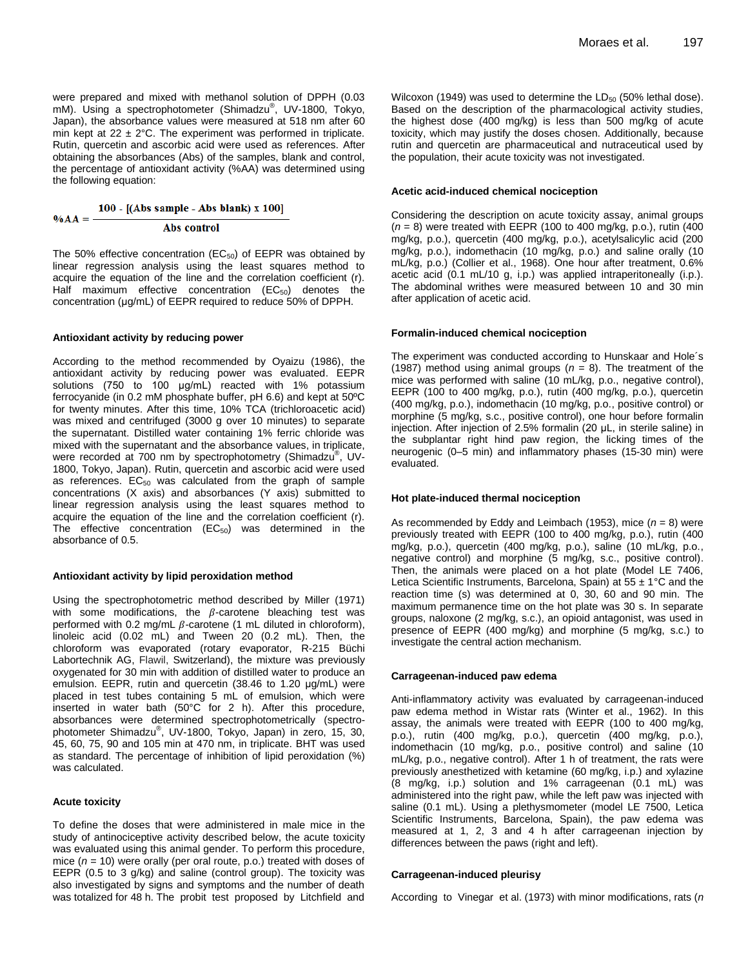were prepared and mixed with methanol solution of DPPH (0.03 mM). Using a spectrophotometer (Shimadzu®, UV-1800, Tokyo, Japan), the absorbance values were measured at 518 nm after 60 min kept at  $22 \pm 2^{\circ}$ C. The experiment was performed in triplicate. Rutin, quercetin and ascorbic acid were used as references. After obtaining the absorbances (Abs) of the samples, blank and control, the percentage of antioxidant activity (%AA) was determined using the following equation:

$$
100 - [(Abs sample - Abs blank) x 100]
$$

#### Abs control

The 50% effective concentration ( $EC_{50}$ ) of EEPR was obtained by linear regression analysis using the least squares method to acquire the equation of the line and the correlation coefficient (r). Half maximum effective concentration  $(EC_{50})$  denotes the concentration (μg/mL) of EEPR required to reduce 50% of DPPH.

#### **Antioxidant activity by reducing power**

 $\%AA =$ 

According to the method recommended by Oyaizu (1986), the antioxidant activity by reducing power was evaluated. EEPR solutions (750 to 100 μg/mL) reacted with 1% potassium ferrocyanide (in 0.2 mM phosphate buffer, pH 6.6) and kept at 50ºC for twenty minutes. After this time, 10% TCA (trichloroacetic acid) was mixed and centrifuged (3000 g over 10 minutes) to separate the supernatant. Distilled water containing 1% ferric chloride was mixed with the supernatant and the absorbance values, in triplicate, were recorded at 700 nm by spectrophotometry (Shimadzu®, UV-1800, Tokyo, Japan). Rutin, quercetin and ascorbic acid were used as references.  $EC_{50}$  was calculated from the graph of sample concentrations (X axis) and absorbances (Y axis) submitted to linear regression analysis using the least squares method to acquire the equation of the line and the correlation coefficient (r). The effective concentration  $(EC_{50})$  was determined in the absorbance of 0.5.

#### **Antioxidant activity by lipid peroxidation method**

Using the spectrophotometric method described by Miller (1971) with some modifications, the  $\beta$ -carotene bleaching test was performed with 0.2 mg/mL  $\beta$ -carotene (1 mL diluted in chloroform), linoleic acid (0.02 mL) and Tween 20 (0.2 mL). Then, the chloroform was evaporated (rotary evaporator, R-215 Büchi Labortechnik AG, Flawil, Switzerland), the mixture was previously oxygenated for 30 min with addition of distilled water to produce an emulsion. EEPR, rutin and quercetin (38.46 to 1.20 μg/mL) were placed in test tubes containing 5 mL of emulsion, which were inserted in water bath (50°C for 2 h). After this procedure, absorbances were determined spectrophotometrically (spectrophotometer Shimadzu® , UV-1800, Tokyo, Japan) in zero, 15, 30, 45, 60, 75, 90 and 105 min at 470 nm, in triplicate. BHT was used as standard. The percentage of inhibition of lipid peroxidation (%) was calculated.

#### **Acute toxicity**

To define the doses that were administered in male mice in the study of antinociceptive activity described below, the acute toxicity was evaluated using this animal gender. To perform this procedure, mice (*n* = 10) were orally (per oral route, p.o.) treated with doses of EEPR (0.5 to 3 g/kg) and saline (control group). The toxicity was also investigated by signs and symptoms and the number of death was totalized for 48 h. The probit test proposed by Litchfield and

Wilcoxon (1949) was used to determine the  $LD_{50}$  (50% lethal dose). Based on the description of the pharmacological activity studies, the highest dose (400 mg/kg) is less than 500 mg/kg of acute toxicity, which may justify the doses chosen. Additionally, because rutin and quercetin are pharmaceutical and nutraceutical used by the population, their acute toxicity was not investigated.

#### **Acetic acid-induced chemical nociception**

Considering the description on acute toxicity assay, animal groups (*n* = 8) were treated with EEPR (100 to 400 mg/kg, p.o.), rutin (400 mg/kg, p.o.), quercetin (400 mg/kg, p.o.), acetylsalicylic acid (200 mg/kg, p.o.), indomethacin (10 mg/kg, p.o.) and saline orally (10 mL/kg, p.o.) (Collier et al., 1968). One hour after treatment, 0.6% acetic acid (0.1 mL/10 g, i.p.) was applied intraperitoneally (i.p.). The abdominal writhes were measured between 10 and 30 min after application of acetic acid.

#### **Formalin-induced chemical nociception**

The experiment was conducted according to Hunskaar and Hole´s (1987) method using animal groups  $(n = 8)$ . The treatment of the mice was performed with saline (10 mL/kg, p.o., negative control), EEPR (100 to 400 mg/kg, p.o.), rutin (400 mg/kg, p.o.), quercetin (400 mg/kg, p.o.), indomethacin (10 mg/kg, p.o., positive control) or morphine (5 mg/kg, s.c., positive control), one hour before formalin injection. After injection of 2.5% formalin (20 μL, in sterile saline) in the subplantar right hind paw region, the licking times of the neurogenic (0–5 min) and inflammatory phases (15-30 min) were evaluated.

#### **Hot plate-induced thermal nociception**

As recommended by Eddy and Leimbach (1953), mice (*n* = 8) were previously treated with EEPR (100 to 400 mg/kg, p.o.), rutin (400 mg/kg, p.o.), quercetin (400 mg/kg, p.o.), saline (10 mL/kg, p.o., negative control) and morphine (5 mg/kg, s.c., positive control). Then, the animals were placed on a hot plate (Model LE 7406, Letica Scientific Instruments, Barcelona, Spain) at  $55 \pm 1^{\circ}$ C and the reaction time (s) was determined at 0, 30, 60 and 90 min. The maximum permanence time on the hot plate was 30 s. In separate groups, naloxone (2 mg/kg, s.c.), an opioid antagonist, was used in presence of EEPR (400 mg/kg) and morphine (5 mg/kg, s.c.) to investigate the central action mechanism.

#### **Carrageenan-induced paw edema**

Anti-inflammatory activity was evaluated by carrageenan-induced paw edema method in Wistar rats (Winter et al., 1962). In this assay, the animals were treated with EEPR (100 to 400 mg/kg, p.o.), rutin (400 mg/kg, p.o.), quercetin (400 mg/kg, p.o.), indomethacin (10 mg/kg, p.o., positive control) and saline (10 mL/kg, p.o., negative control). After 1 h of treatment, the rats were previously anesthetized with ketamine (60 mg/kg, i.p.) and xylazine (8 mg/kg, i.p.) solution and 1% carrageenan (0.1 mL) was administered into the right paw, while the left paw was injected with saline (0.1 mL). Using a plethysmometer (model LE 7500, Letica Scientific Instruments, Barcelona, Spain), the paw edema was measured at 1, 2, 3 and 4 h after carrageenan injection by differences between the paws (right and left).

#### **Carrageenan-induced pleurisy**

According to Vinegar et al. (1973) with minor modifications, rats (*n*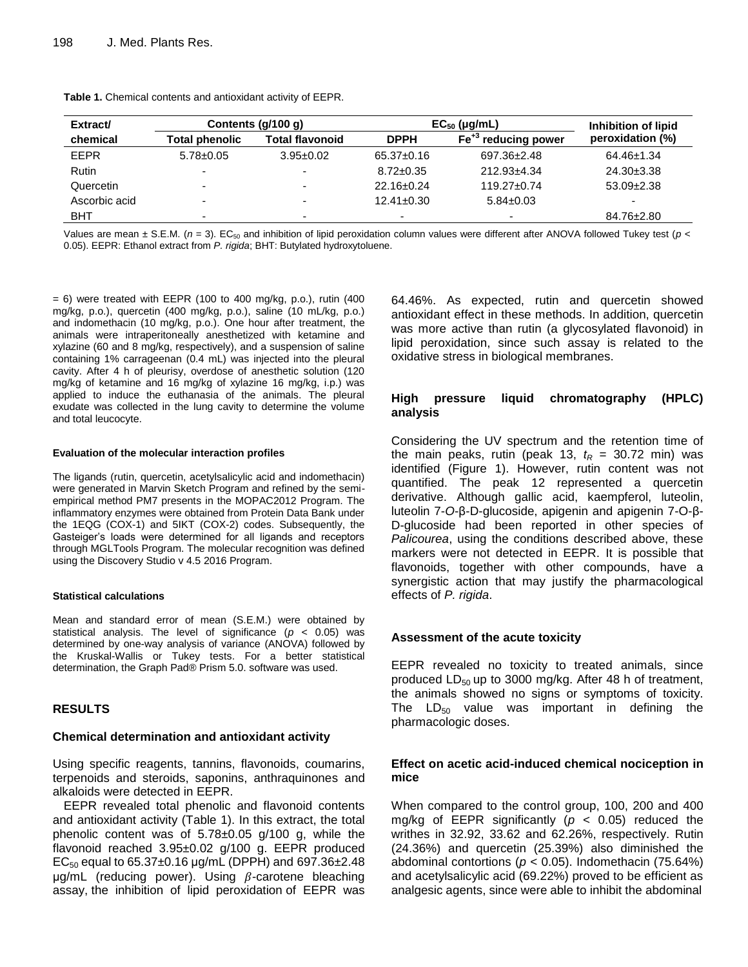| Extract/      | Contents $(g/100 g)$     |                          | $EC_{50}$ (µg/mL)        |                                 | Inhibition of lipid |
|---------------|--------------------------|--------------------------|--------------------------|---------------------------------|---------------------|
| chemical      | <b>Total phenolic</b>    | Total flavonoid          | <b>DPPH</b>              | Fe <sup>+3</sup> reducing power | peroxidation (%)    |
| <b>EEPR</b>   | $5.78 \pm 0.05$          | $3.95 \pm 0.02$          | $65.37 \pm 0.16$         | $697.36 \pm 2.48$               | $64.46 \pm 1.34$    |
| Rutin         | $\overline{\phantom{0}}$ | $\sim$                   | $8.72 \pm 0.35$          | 212.93±4.34                     | $24.30 \pm 3.38$    |
| Quercetin     |                          |                          | $22.16 \pm 0.24$         | $119.27 \pm 0.74$               | $53.09 \pm 2.38$    |
| Ascorbic acid | $\overline{\phantom{0}}$ | $\overline{\phantom{a}}$ | $12.41 \pm 0.30$         | $5.84 \pm 0.03$                 |                     |
| <b>BHT</b>    | -                        | -                        | $\overline{\phantom{a}}$ | $\overline{\phantom{0}}$        | 84.76±2.80          |

**Table 1.** Chemical contents and antioxidant activity of EEPR.

Values are mean ± S.E.M. ( $n = 3$ ). EC<sub>50</sub> and inhibition of lipid peroxidation column values were different after ANOVA followed Tukey test ( $p <$ 0.05). EEPR: Ethanol extract from *P. rigida*; BHT: Butylated hydroxytoluene.

 $= 6$ ) were treated with EEPR (100 to 400 mg/kg, p.o.), rutin (400 mg/kg, p.o.), quercetin (400 mg/kg, p.o.), saline (10 mL/kg, p.o.) and indomethacin (10 mg/kg, p.o.). One hour after treatment, the animals were intraperitoneally anesthetized with ketamine and xylazine (60 and 8 mg/kg, respectively), and a suspension of saline containing 1% carrageenan (0.4 mL) was injected into the pleural cavity. After 4 h of pleurisy, overdose of anesthetic solution (120 mg/kg of ketamine and 16 mg/kg of xylazine 16 mg/kg, i.p.) was applied to induce the euthanasia of the animals. The pleural exudate was collected in the lung cavity to determine the volume and total leucocyte.

#### **Evaluation of the molecular interaction profiles**

The ligands (rutin, quercetin, acetylsalicylic acid and indomethacin) were generated in Marvin Sketch Program and refined by the semiempirical method PM7 presents in the MOPAC2012 Program. The inflammatory enzymes were obtained from Protein Data Bank under the 1EQG (COX-1) and 5IKT (COX-2) codes. Subsequently, the Gasteiger's loads were determined for all ligands and receptors through MGLTools Program. The molecular recognition was defined using the Discovery Studio v 4.5 2016 Program.

#### **Statistical calculations**

Mean and standard error of mean (S.E.M.) were obtained by statistical analysis. The level of significance (*p* < 0.05) was determined by one-way analysis of variance (ANOVA) followed by the Kruskal-Wallis or Tukey tests. For a better statistical determination, the Graph Pad® Prism 5.0. software was used.

## **RESULTS**

#### **Chemical determination and antioxidant activity**

Using specific reagents, tannins, flavonoids, coumarins, terpenoids and steroids, saponins, anthraquinones and alkaloids were detected in EEPR.

EEPR revealed total phenolic and flavonoid contents and antioxidant activity (Table 1). In this extract, the total phenolic content was of 5.78±0.05 g/100 g, while the flavonoid reached 3.95±0.02 g/100 g. EEPR produced EC<sub>50</sub> equal to 65.37 $\pm$ 0.16 µg/mL (DPPH) and 697.36 $\pm$ 2.48  $\mu$ g/mL (reducing power). Using  $\beta$ -carotene bleaching assay, the inhibition of lipid peroxidation of EEPR was

64.46%. As expected, rutin and quercetin showed antioxidant effect in these methods. In addition, quercetin was more active than rutin (a glycosylated flavonoid) in lipid peroxidation, since such assay is related to the oxidative stress in biological membranes.

## **High pressure liquid chromatography (HPLC) analysis**

Considering the UV spectrum and the retention time of the main peaks, rutin (peak 13,  $t<sub>R</sub>$  = 30.72 min) was identified (Figure 1). However, rutin content was not quantified. The peak 12 represented a quercetin derivative. Although gallic acid, kaempferol, luteolin, luteolin 7-*O*-β-D-glucoside, apigenin and apigenin 7-O-β-D-glucoside had been reported in other species of *Palicourea*, using the conditions described above, these markers were not detected in EEPR. It is possible that flavonoids, together with other compounds, have a synergistic action that may justify the pharmacological effects of *P. rigida*.

## **Assessment of the acute toxicity**

EEPR revealed no toxicity to treated animals, since produced  $LD_{50}$  up to 3000 mg/kg. After 48 h of treatment, the animals showed no signs or symptoms of toxicity. The  $LD_{50}$  value was important in defining the pharmacologic doses.

## **Effect on acetic acid-induced chemical nociception in mice**

When compared to the control group, 100, 200 and 400 mg/kg of EEPR significantly (*p* < 0.05) reduced the writhes in 32.92, 33.62 and 62.26%, respectively. Rutin (24.36%) and quercetin (25.39%) also diminished the abdominal contortions (*p* < 0.05). Indomethacin (75.64%) and acetylsalicylic acid (69.22%) proved to be efficient as analgesic agents, since were able to inhibit the abdominal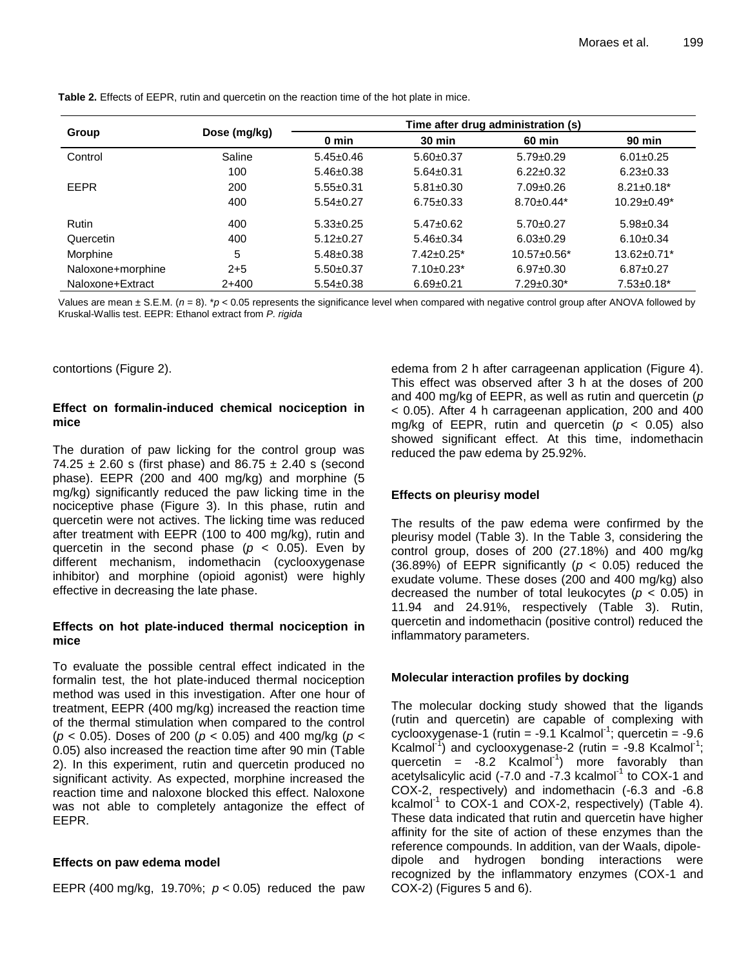|                   |              | Time after drug administration (s) |                   |                    |                    |
|-------------------|--------------|------------------------------------|-------------------|--------------------|--------------------|
| Group             | Dose (mg/kg) | 0 min                              | $30$ min          | 60 min             | <b>90 min</b>      |
| Control           | Saline       | $5.45 \pm 0.46$                    | $5.60+0.37$       | $5.79 \pm 0.29$    | $6.01 \pm 0.25$    |
|                   | 100          | $5.46 \pm 0.38$                    | $5.64 \pm 0.31$   | $6.22 \pm 0.32$    | $6.23 \pm 0.33$    |
| <b>EEPR</b>       | 200          | $5.55 \pm 0.31$                    | $5.81 \pm 0.30$   | $7.09 \pm 0.26$    | $8.21 \pm 0.18^*$  |
|                   | 400          | $5.54 \pm 0.27$                    | $6.75 \pm 0.33$   | $8.70 \pm 0.44*$   | $10.29 \pm 0.49^*$ |
| Rutin             | 400          | $5.33 \pm 0.25$                    | $5.47 \pm 0.62$   | $5.70+0.27$        | $5.98 \pm 0.34$    |
| Quercetin         | 400          | $5.12 \pm 0.27$                    | $5.46 \pm 0.34$   | $6.03 \pm 0.29$    | $6.10 \pm 0.34$    |
| Morphine          | 5            | $5.48 \pm 0.38$                    | $7.42 \pm 0.25^*$ | $10.57 \pm 0.56$ * | $13.62 \pm 0.71$ * |
| Naloxone+morphine | $2 + 5$      | $5.50+0.37$                        | $7.10 \pm 0.23$ * | $6.97 \pm 0.30$    | $6.87 \pm 0.27$    |
| Naloxone+Extract  | $2+400$      | $5.54 \pm 0.38$                    | $6.69 + 0.21$     | $7.29 \pm 0.30^*$  | $7.53 \pm 0.18^*$  |

**Table 2.** Effects of EEPR, rutin and quercetin on the reaction time of the hot plate in mice.

Values are mean  $\pm$  S.E.M. ( $n = 8$ ). \* $p < 0.05$  represents the significance level when compared with negative control group after ANOVA followed by Kruskal-Wallis test. EEPR: Ethanol extract from *P. rigida*

contortions (Figure 2).

## **Effect on formalin-induced chemical nociception in mice**

The duration of paw licking for the control group was 74.25  $\pm$  2.60 s (first phase) and 86.75  $\pm$  2.40 s (second phase). EEPR (200 and 400 mg/kg) and morphine (5 mg/kg) significantly reduced the paw licking time in the nociceptive phase (Figure 3). In this phase, rutin and quercetin were not actives. The licking time was reduced after treatment with EEPR (100 to 400 mg/kg), rutin and quercetin in the second phase  $(p < 0.05)$ . Even by different mechanism, indomethacin (cyclooxygenase inhibitor) and morphine (opioid agonist) were highly effective in decreasing the late phase.

## **Effects on hot plate-induced thermal nociception in mice**

To evaluate the possible central effect indicated in the formalin test, the hot plate-induced thermal nociception method was used in this investigation. After one hour of treatment, EEPR (400 mg/kg) increased the reaction time of the thermal stimulation when compared to the control (*p* < 0.05). Doses of 200 (*p* < 0.05) and 400 mg/kg (*p* < 0.05) also increased the reaction time after 90 min (Table 2). In this experiment, rutin and quercetin produced no significant activity. As expected, morphine increased the reaction time and naloxone blocked this effect. Naloxone was not able to completely antagonize the effect of EEPR.

## **Effects on paw edema model**

EEPR (400 mg/kg, 19.70%; *p* < 0.05) reduced the paw

edema from 2 h after carrageenan application (Figure 4). This effect was observed after 3 h at the doses of 200 and 400 mg/kg of EEPR, as well as rutin and quercetin (*p* < 0.05). After 4 h carrageenan application, 200 and 400 mg/kg of EEPR, rutin and quercetin (*p* < 0.05) also showed significant effect. At this time, indomethacin reduced the paw edema by 25.92%.

## **Effects on pleurisy model**

The results of the paw edema were confirmed by the pleurisy model (Table 3). In the Table 3, considering the control group, doses of 200 (27.18%) and 400 mg/kg (36.89%) of EEPR significantly ( $p < 0.05$ ) reduced the exudate volume. These doses (200 and 400 mg/kg) also decreased the number of total leukocytes (*p* < 0.05) in 11.94 and 24.91%, respectively (Table 3). Rutin, quercetin and indomethacin (positive control) reduced the inflammatory parameters.

## **Molecular interaction profiles by docking**

The molecular docking study showed that the ligands (rutin and quercetin) are capable of complexing with  $cyc$ looxygenase-1 (rutin = -9.1 Kcalmol<sup>-1</sup>; quercetin = -9.6 Kcalmol<sup>-1</sup>) and cyclooxygenase-2 (rutin = -9.8 Kcalmol<sup>-1</sup>; quercetin =  $-8.2$  Kcalmol<sup>-1</sup>) more favorably than acetylsalicylic acid (-7.0 and  $-7.3$  kcalmol<sup>-1</sup> to COX-1 and COX-2, respectively) and indomethacin (-6.3 and -6.8 kcalmol<sup>-1</sup> to COX-1 and COX-2, respectively) (Table 4). These data indicated that rutin and quercetin have higher affinity for the site of action of these enzymes than the reference compounds. In addition, van der Waals, dipoledipole and hydrogen bonding interactions were recognized by the inflammatory enzymes (COX-1 and COX-2) (Figures 5 and 6).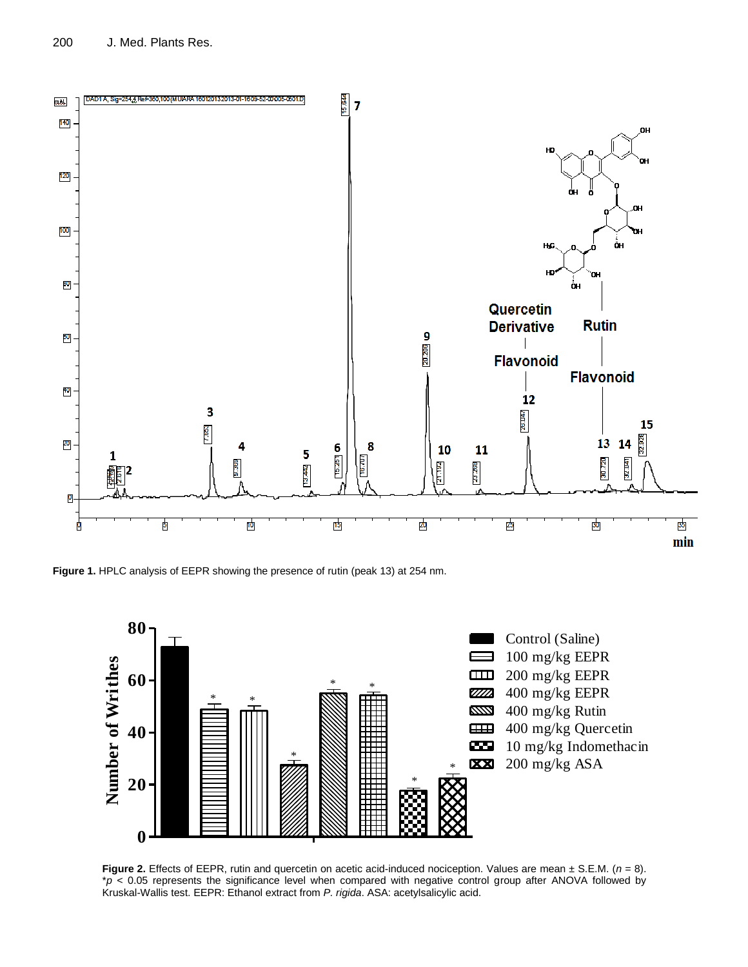

**Figure 1.** HPLC analysis of EEPR showing the presence of rutin (peak 13) at 254 nm.



**Figure 2.** Effects of EEPR, rutin and quercetin on acetic acid-induced nociception. Values are mean ± S.E.M. (*n* = 8). \**p* < 0.05 represents the significance level when compared with negative control group after ANOVA followed by Kruskal-Wallis test. EEPR: Ethanol extract from *P. rigida*. ASA: acetylsalicylic acid.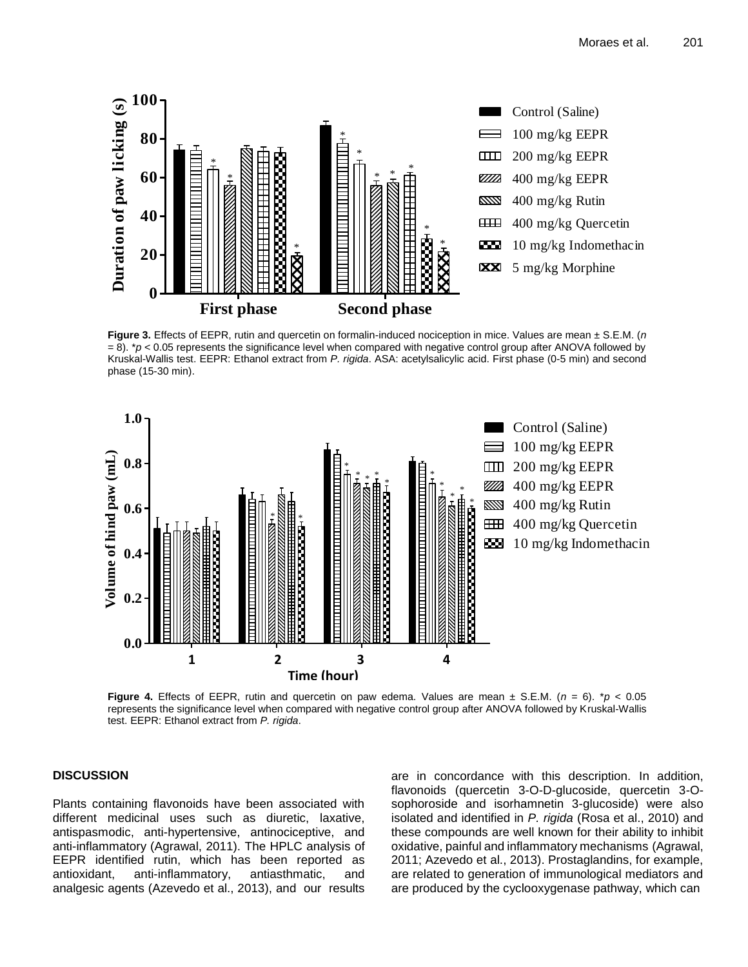

**Figure 3.** Effects of EEPR, rutin and quercetin on formalin-induced nociception in mice. Values are mean ± S.E.M. (*n* = 8). \**p* < 0.05 represents the significance level when compared with negative control group after ANOVA followed by Kruskal-Wallis test. EEPR: Ethanol extract from *P. rigida*. ASA: acetylsalicylic acid. First phase (0-5 min) and second phase (15-30 min).



**Figure 4.** Effects of EEPR, rutin and quercetin on paw edema. Values are mean  $\pm$  S.E.M. ( $n = 6$ ). \* $p < 0.05$ represents the significance level when compared with negative control group after ANOVA followed by Kruskal-Wallis test. EEPR: Ethanol extract from *P. rigida*.

#### **DISCUSSION**

Plants containing flavonoids have been associated with different medicinal uses such as diuretic, laxative, antispasmodic, anti-hypertensive, antinociceptive, and anti-inflammatory (Agrawal, 2011). The HPLC analysis of EEPR identified rutin, which has been reported as antioxidant, anti-inflammatory, antiasthmatic, and analgesic agents (Azevedo et al., 2013), and our results are in concordance with this description. In addition, flavonoids (quercetin 3-O-D-glucoside, quercetin 3-Osophoroside and isorhamnetin 3-glucoside) were also isolated and identified in *P. rigida* (Rosa et al., 2010) and these compounds are well known for their ability to inhibit oxidative, painful and inflammatory mechanisms (Agrawal, 2011; Azevedo et al., 2013). Prostaglandins, for example, are related to generation of immunological mediators and are produced by the cyclooxygenase pathway, which can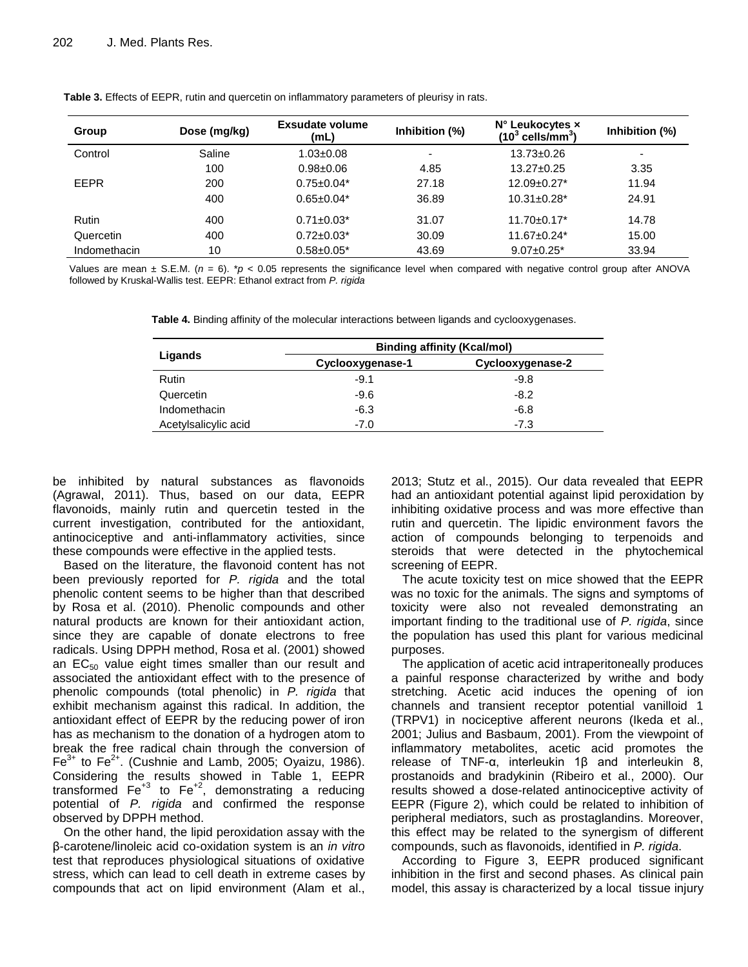| Group        | Dose (mg/kg) | <b>Exsudate volume</b><br>(mL) | Inhibition (%)           | N° Leukocytes x<br>$(103$ cells/mm <sup>3</sup> ) | Inhibition (%)           |
|--------------|--------------|--------------------------------|--------------------------|---------------------------------------------------|--------------------------|
| Control      | Saline       | $1.03 \pm 0.08$                | $\overline{\phantom{0}}$ | $13.73 \pm 0.26$                                  | $\overline{\phantom{0}}$ |
|              | 100          | $0.98 + 0.06$                  | 4.85                     | $13.27 \pm 0.25$                                  | 3.35                     |
| EEPR         | 200          | $0.75 \pm 0.04*$               | 27.18                    | $12.09 \pm 0.27$ *                                | 11.94                    |
|              | 400          | $0.65 \pm 0.04*$               | 36.89                    | $10.31 \pm 0.28$ *                                | 24.91                    |
| <b>Rutin</b> | 400          | $0.71 \pm 0.03^*$              | 31.07                    | $11.70 \pm 0.17^*$                                | 14.78                    |
| Quercetin    | 400          | $0.72 \pm 0.03^*$              | 30.09                    | $11.67 \pm 0.24$ *                                | 15.00                    |
| Indomethacin | 10           | $0.58 \pm 0.05^*$              | 43.69                    | $9.07 \pm 0.25$ *                                 | 33.94                    |

**Table 3.** Effects of EEPR, rutin and quercetin on inflammatory parameters of pleurisy in rats.

Values are mean  $\pm$  S.E.M. ( $n = 6$ ). \* $p < 0.05$  represents the significance level when compared with negative control group after ANOVA followed by Kruskal-Wallis test. EEPR: Ethanol extract from *P. rigida*

**Table 4.** Binding affinity of the molecular interactions between ligands and cyclooxygenases.

|                      | <b>Binding affinity (Kcal/mol)</b> |                  |  |  |
|----------------------|------------------------------------|------------------|--|--|
| Ligands              | Cyclooxygenase-1                   | Cyclooxygenase-2 |  |  |
| Rutin                | $-9.1$                             | $-9.8$           |  |  |
| Quercetin            | $-9.6$                             | $-8.2$           |  |  |
| Indomethacin         | $-6.3$                             | $-6.8$           |  |  |
| Acetylsalicylic acid | $-7.0$                             | $-7.3$           |  |  |

be inhibited by natural substances as flavonoids (Agrawal, 2011). Thus, based on our data, EEPR flavonoids, mainly rutin and quercetin tested in the current investigation, contributed for the antioxidant, antinociceptive and anti-inflammatory activities, since these compounds were effective in the applied tests.

Based on the literature, the flavonoid content has not been previously reported for *P. rigida* and the total phenolic content seems to be higher than that described by Rosa et al. (2010). Phenolic compounds and other natural products are known for their antioxidant action, since they are capable of donate electrons to free radicals. Using DPPH method, Rosa et al. (2001) showed an  $EC_{50}$  value eight times smaller than our result and associated the antioxidant effect with to the presence of phenolic compounds (total phenolic) in *P. rigida* that exhibit mechanism against this radical. In addition, the antioxidant effect of EEPR by the reducing power of iron has as mechanism to the donation of a hydrogen atom to break the free radical chain through the conversion of  $\mathsf{Fe}^{3+}$  to  $\mathsf{Fe}^{2+}$ . (Cushnie and Lamb, 2005; Oyaizu, 1986). Considering the results showed in Table 1, EEPR transformed  $Fe<sup>+3</sup>$  to  $Fe<sup>+2</sup>$ , demonstrating a reducing potential of *P. rigida* and confirmed the response observed by DPPH method.

On the other hand, the lipid peroxidation assay with the β-carotene/linoleic acid co-oxidation system is an *in vitro* test that reproduces physiological situations of oxidative stress, which can lead to cell death in extreme cases by compounds that act on lipid environment (Alam et al., 2013; Stutz et al., 2015). Our data revealed that EEPR had an antioxidant potential against lipid peroxidation by inhibiting oxidative process and was more effective than rutin and quercetin. The lipidic environment favors the action of compounds belonging to terpenoids and steroids that were detected in the phytochemical screening of EEPR.

The acute toxicity test on mice showed that the EEPR was no toxic for the animals. The signs and symptoms of toxicity were also not revealed demonstrating an important finding to the traditional use of *P. rigida*, since the population has used this plant for various medicinal purposes.

The application of acetic acid intraperitoneally produces a painful response characterized by writhe and body stretching. Acetic acid induces the opening of ion channels and transient receptor potential vanilloid 1 (TRPV1) in nociceptive afferent neurons (Ikeda et al., 2001; Julius and Basbaum, 2001). From the viewpoint of inflammatory metabolites, acetic acid promotes the release of TNF-α, interleukin 1β and interleukin 8, prostanoids and bradykinin (Ribeiro et al., 2000). Our results showed a dose-related antinociceptive activity of EEPR (Figure 2), which could be related to inhibition of peripheral mediators, such as prostaglandins. Moreover, this effect may be related to the synergism of different compounds, such as flavonoids, identified in *P. rigida*.

According to Figure 3, EEPR produced significant inhibition in the first and second phases. As clinical pain model, this assay is characterized by a local tissue injury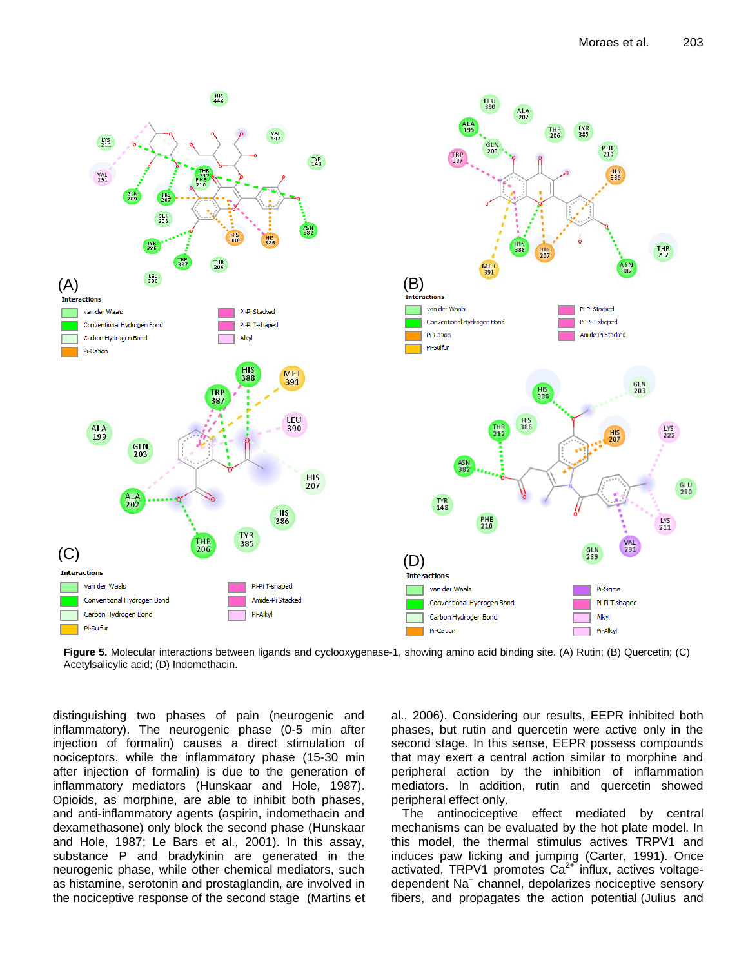

**Figure 5.** Molecular interactions between ligands and cyclooxygenase-1, showing amino acid binding site. (A) Rutin; (B) Quercetin; (C) Acetylsalicylic acid; (D) Indomethacin.

distinguishing two phases of pain (neurogenic and inflammatory). The neurogenic phase (0-5 min after injection of formalin) causes a direct stimulation of nociceptors, while the inflammatory phase (15-30 min after injection of formalin) is due to the generation of inflammatory mediators (Hunskaar and Hole, 1987). Opioids, as morphine, are able to inhibit both phases, and anti-inflammatory agents (aspirin, indomethacin and dexamethasone) only block the second phase (Hunskaar and Hole, 1987; Le Bars et al., 2001). In this assay, substance P and bradykinin are generated in the neurogenic phase, while other chemical mediators, such as histamine, serotonin and prostaglandin, are involved in the nociceptive response of the second stage (Martins et al., 2006). Considering our results, EEPR inhibited both phases, but rutin and quercetin were active only in the second stage. In this sense, EEPR possess compounds that may exert a central action similar to morphine and peripheral action by the inhibition of inflammation mediators. In addition, rutin and quercetin showed peripheral effect only.

The antinociceptive effect mediated by central mechanisms can be evaluated by the hot plate model. In this model, the thermal stimulus actives TRPV1 and induces paw licking and jumping (Carter, 1991). Once activated, TRPV1 promotes  $Ca<sup>2+</sup>$  influx, actives voltagedependent Na<sup>+</sup> channel, depolarizes nociceptive sensory fibers, and propagates the action potential (Julius and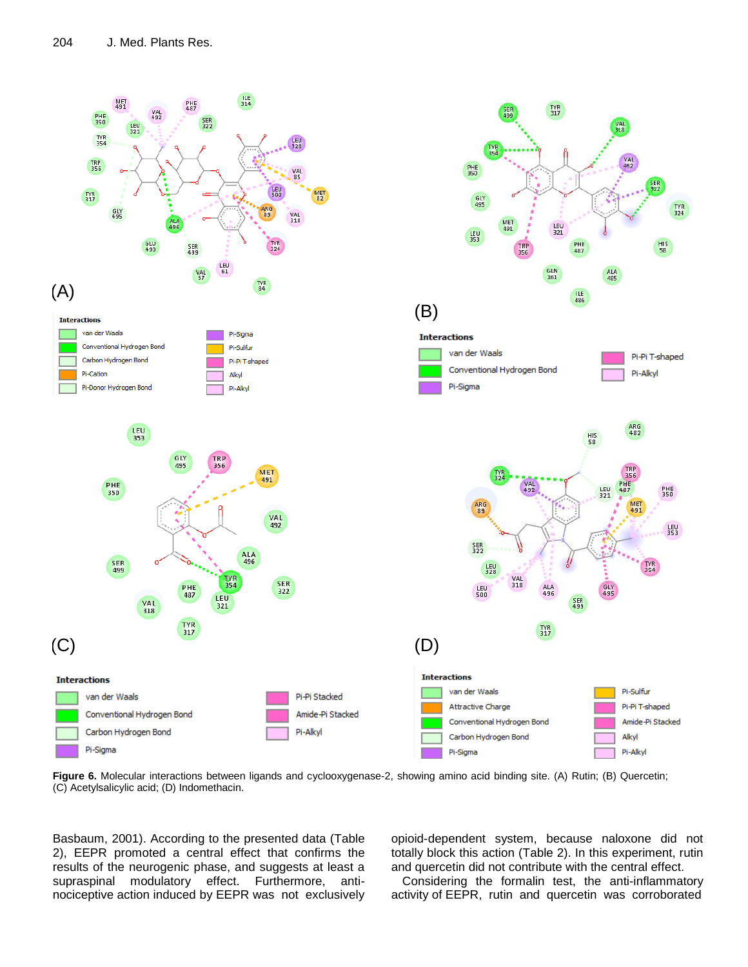

**Figure 6.** Molecular interactions between ligands and cyclooxygenase-2, showing amino acid binding site. (A) Rutin; (B) Quercetin; (C) Acetylsalicylic acid; (D) Indomethacin.

Basbaum, 2001). According to the presented data (Table 2), EEPR promoted a central effect that confirms the results of the neurogenic phase, and suggests at least a supraspinal modulatory effect. Furthermore, antinociceptive action induced by EEPR was not exclusively opioid-dependent system, because naloxone did not totally block this action (Table 2). In this experiment, rutin and quercetin did not contribute with the central effect.

Considering the formalin test, the anti-inflammatory activity of EEPR, rutin and quercetin was corroborated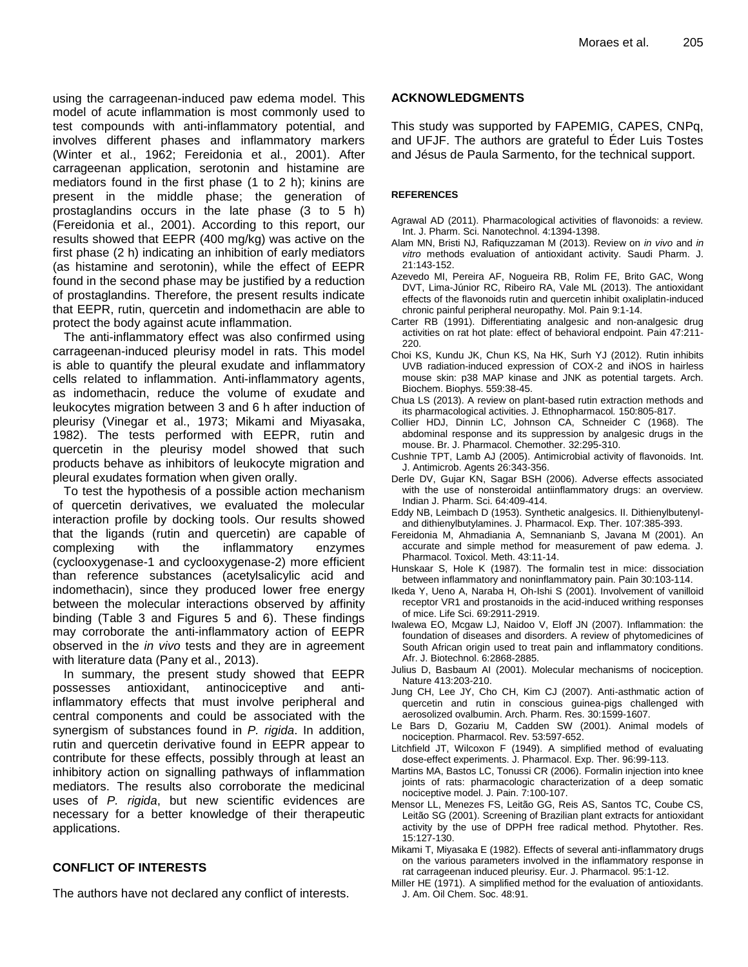using the carrageenan-induced paw edema model. This model of acute inflammation is most commonly used to test compounds with anti-inflammatory potential, and involves different phases and inflammatory markers (Winter et al., 1962; Fereidonia et al., 2001). After carrageenan application, serotonin and histamine are mediators found in the first phase (1 to 2 h); kinins are present in the middle phase; the generation of prostaglandins occurs in the late phase (3 to 5 h) (Fereidonia et al., 2001). According to this report, our results showed that EEPR (400 mg/kg) was active on the first phase (2 h) indicating an inhibition of early mediators (as histamine and serotonin), while the effect of EEPR found in the second phase may be justified by a reduction of prostaglandins. Therefore, the present results indicate that EEPR, rutin, quercetin and indomethacin are able to protect the body against acute inflammation.

The anti-inflammatory effect was also confirmed using carrageenan-induced pleurisy model in rats. This model is able to quantify the pleural exudate and inflammatory cells related to inflammation. Anti-inflammatory agents, as indomethacin, reduce the volume of exudate and leukocytes migration between 3 and 6 h after induction of pleurisy (Vinegar et al., 1973; Mikami and Miyasaka, 1982). The tests performed with EEPR, rutin and quercetin in the pleurisy model showed that such products behave as inhibitors of leukocyte migration and pleural exudates formation when given orally.

To test the hypothesis of a possible action mechanism of quercetin derivatives, we evaluated the molecular interaction profile by docking tools. Our results showed that the ligands (rutin and quercetin) are capable of complexing with the inflammatory enzymes (cyclooxygenase-1 and cyclooxygenase-2) more efficient than reference substances (acetylsalicylic acid and indomethacin), since they produced lower free energy between the molecular interactions observed by affinity binding (Table 3 and Figures 5 and 6). These findings may corroborate the anti-inflammatory action of EEPR observed in the *in vivo* tests and they are in agreement with literature data (Pany et al., 2013).

In summary, the present study showed that EEPR possesses antioxidant, antinociceptive and antiinflammatory effects that must involve peripheral and central components and could be associated with the synergism of substances found in *P. rigida*. In addition, rutin and quercetin derivative found in EEPR appear to contribute for these effects, possibly through at least an inhibitory action on signalling pathways of inflammation mediators. The results also corroborate the medicinal uses of *P. rigida*, but new scientific evidences are necessary for a better knowledge of their therapeutic applications.

## **CONFLICT OF INTERESTS**

The authors have not declared any conflict of interests.

## **ACKNOWLEDGMENTS**

This study was supported by FAPEMIG, CAPES, CNPq, and UFJF. The authors are grateful to Éder Luis Tostes and Jésus de Paula Sarmento, for the technical support.

### **REFERENCES**

- Agrawal AD (2011). Pharmacological activities of flavonoids: a review. Int. J. Pharm. Sci. Nanotechnol. 4:1394-1398.
- Alam MN, Bristi NJ, Rafiquzzaman M (2013). Review on *in vivo* and *in vitro* methods evaluation of antioxidant activity. Saudi Pharm. J. 21:143-152.
- Azevedo MI, Pereira AF, Nogueira RB, Rolim FE, Brito GAC, Wong DVT, Lima-Júnior RC, Ribeiro RA, Vale ML (2013). The antioxidant effects of the flavonoids rutin and quercetin inhibit oxaliplatin-induced chronic painful peripheral neuropathy. Mol. Pain 9:1-14.
- Carter RB (1991). Differentiating analgesic and non-analgesic drug activities on rat hot plate: effect of behavioral endpoint. Pain 47:211- 220.
- Choi KS, Kundu JK, Chun KS, Na HK, Surh YJ (2012). Rutin inhibits UVB radiation-induced expression of COX-2 and iNOS in hairless mouse skin: p38 MAP kinase and JNK as potential targets. Arch. Biochem. Biophys. 559:38-45.
- Chua LS (2013). A review on plant-based rutin extraction methods and its pharmacological activities. J. Ethnopharmacol*.* 150:805-817.
- Collier HDJ, Dinnin LC, Johnson CA, Schneider C (1968). The abdominal response and its suppression by analgesic drugs in the mouse. Br. J. Pharmacol. Chemother. 32:295-310.
- Cushnie TPT, Lamb AJ (2005). Antimicrobial activity of flavonoids. Int. J. Antimicrob. Agents 26:343-356.
- Derle DV, Gujar KN, Sagar BSH (2006). Adverse effects associated with the use of nonsteroidal antiinflammatory drugs: an overview. Indian J. Pharm. Sci. 64:409-414.
- Eddy NB, Leimbach D (1953). Synthetic analgesics. II. Dithienylbutenyland dithienylbutylamines. J. Pharmacol. Exp. Ther. 107:385-393.
- Fereidonia M, Ahmadiania A, Semnanianb S, Javana M (2001). An accurate and simple method for measurement of paw edema. J. Pharmacol. Toxicol. Meth. 43:11-14.
- Hunskaar S, Hole K (1987). The formalin test in mice: dissociation between inflammatory and noninflammatory pain. Pain 30:103-114.
- Ikeda Y, Ueno A, Naraba H, Oh-Ishi S (2001). Involvement of vanilloid receptor VR1 and prostanoids in the acid-induced writhing responses of mice. Life Sci. 69:2911-2919.
- Iwalewa EO, Mcgaw LJ, Naidoo V, Eloff JN (2007). Inflammation: the foundation of diseases and disorders. A review of phytomedicines of South African origin used to treat pain and inflammatory conditions. Afr. J. Biotechnol. 6:2868-2885.
- Julius D, Basbaum AI (2001). Molecular mechanisms of nociception. Nature 413:203-210.
- Jung CH, Lee JY, Cho CH, Kim CJ (2007). Anti-asthmatic action of quercetin and rutin in conscious guinea-pigs challenged with aerosolized ovalbumin. Arch. Pharm. Res. 30:1599-1607.
- Le Bars D, Gozariu M, Cadden SW (2001). Animal models of nociception. Pharmacol. Rev. 53:597-652.
- Litchfield JT, Wilcoxon F (1949). A simplified method of evaluating dose-effect experiments. J. Pharmacol. Exp. Ther. 96:99-113.
- Martins MA, Bastos LC, Tonussi CR (2006). Formalin injection into knee joints of rats: pharmacologic characterization of a deep somatic nociceptive model. J. Pain. 7:100-107.
- Mensor LL, Menezes FS, Leitão GG, Reis AS, Santos TC, Coube CS, Leitão SG (2001). Screening of Brazilian plant extracts for antioxidant activity by the use of DPPH free radical method. Phytother. Res. 15:127-130.
- Mikami T, Miyasaka E (1982). Effects of several anti-inflammatory drugs on the various parameters involved in the inflammatory response in rat carrageenan induced pleurisy. Eur. J. Pharmacol. 95:1-12.
- Miller HE (1971). A simplified method for the evaluation of antioxidants. J. Am. Oil Chem. Soc. 48:91.